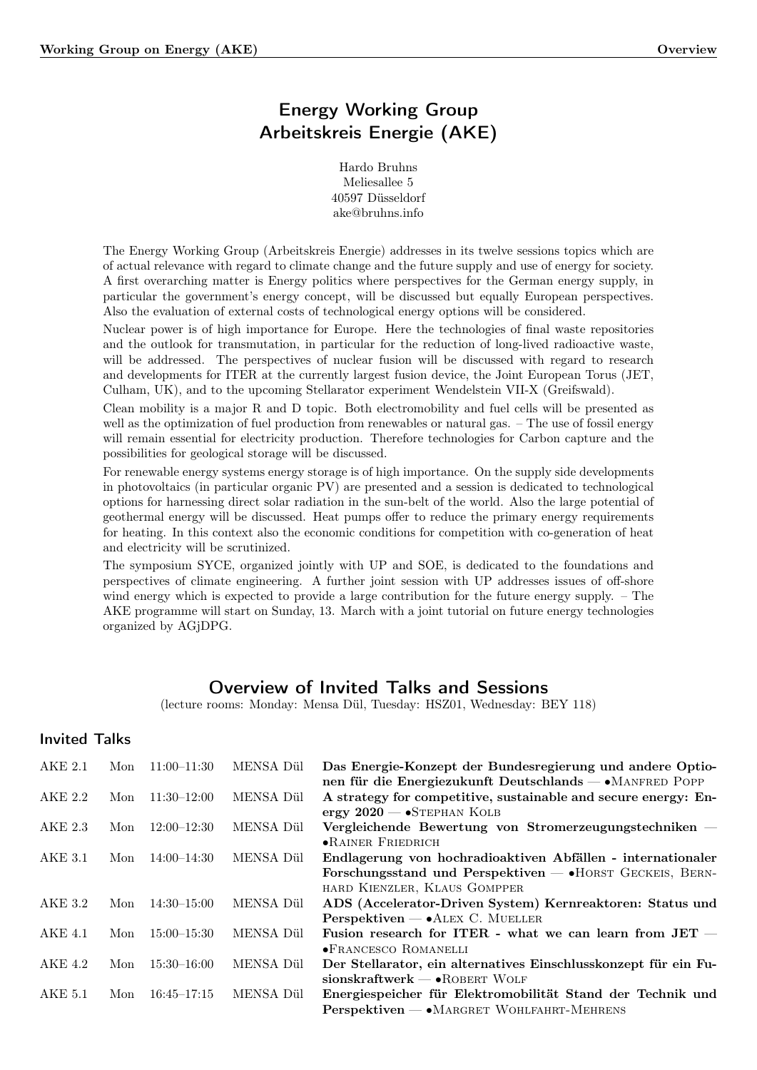# Energy Working Group Arbeitskreis Energie (AKE)

Hardo Bruhns Meliesallee 5 40597 Düsseldorf ake@bruhns.info

The Energy Working Group (Arbeitskreis Energie) addresses in its twelve sessions topics which are of actual relevance with regard to climate change and the future supply and use of energy for society. A first overarching matter is Energy politics where perspectives for the German energy supply, in particular the government's energy concept, will be discussed but equally European perspectives. Also the evaluation of external costs of technological energy options will be considered.

Nuclear power is of high importance for Europe. Here the technologies of final waste repositories and the outlook for transmutation, in particular for the reduction of long-lived radioactive waste, will be addressed. The perspectives of nuclear fusion will be discussed with regard to research and developments for ITER at the currently largest fusion device, the Joint European Torus (JET, Culham, UK), and to the upcoming Stellarator experiment Wendelstein VII-X (Greifswald).

Clean mobility is a major R and D topic. Both electromobility and fuel cells will be presented as well as the optimization of fuel production from renewables or natural gas. – The use of fossil energy will remain essential for electricity production. Therefore technologies for Carbon capture and the possibilities for geological storage will be discussed.

For renewable energy systems energy storage is of high importance. On the supply side developments in photovoltaics (in particular organic PV) are presented and a session is dedicated to technological options for harnessing direct solar radiation in the sun-belt of the world. Also the large potential of geothermal energy will be discussed. Heat pumps offer to reduce the primary energy requirements for heating. In this context also the economic conditions for competition with co-generation of heat and electricity will be scrutinized.

The symposium SYCE, organized jointly with UP and SOE, is dedicated to the foundations and perspectives of climate engineering. A further joint session with UP addresses issues of off-shore wind energy which is expected to provide a large contribution for the future energy supply. – The AKE programme will start on Sunday, 13. March with a joint tutorial on future energy technologies organized by AGjDPG.

## Overview of Invited Talks and Sessions

(lecture rooms: Monday: Mensa Dül, Tuesday: HSZ01, Wednesday: BEY 118)

## Invited Talks

| AKE 2.1        | Mon | $11:00-11:30$   | MENSA Dül | Das Energie-Konzept der Bundesregierung und andere Optio-<br>nen für die Energiezukunft Deutschlands — «MANFRED POPP                                       |
|----------------|-----|-----------------|-----------|------------------------------------------------------------------------------------------------------------------------------------------------------------|
| AKE 2.2        | Mon | $11:30 - 12:00$ | MENSA Dül | A strategy for competitive, sustainable and secure energy: En-<br>ergy $2020 - S$ TEPHAN KOLB                                                              |
| AKE 2.3        | Mon | $12:00 - 12:30$ | MENSA Dül | Vergleichende Bewertung von Stromerzeugungstechniken $-$<br>$\bullet$ RAINER FRIEDRICH                                                                     |
| AKE 3.1        | Mon | $14:00 - 14:30$ | MENSA Dül | Endlagerung von hochradioaktiven Abfällen - internationaler<br>Forschungsstand und Perspektiven $-$ • HORST GECKEIS, BERN-<br>HARD KIENZLER, KLAUS GOMPPER |
| AKE 3.2        | Mon | $14:30 - 15:00$ | MENSA Dül | ADS (Accelerator-Driven System) Kernreaktoren: Status und<br>$Personektiven - \bullet ALEX$ C. MUELLER                                                     |
| <b>AKE 4.1</b> | Mon | $15:00 - 15:30$ | MENSA Dül | Fusion research for ITER - what we can learn from $JET$ -<br><b>•FRANCESCO ROMANELLI</b>                                                                   |
| AKE 4.2        | Mon | $15:30 - 16:00$ | MENSA Dül | Der Stellarator, ein alternatives Einschlusskonzept für ein Fu-<br>$sionskraftwerk \t - \t \cdot \t \cdot RORERT WOLF$                                     |
| AKE 5.1        | Mon | $16:45 - 17:15$ | MENSA Dül | Energiespeicher für Elektromobilität Stand der Technik und<br>$Personektiven - \bullet \text{MARGRET WOHLFAHRT-MEHRENS}$                                   |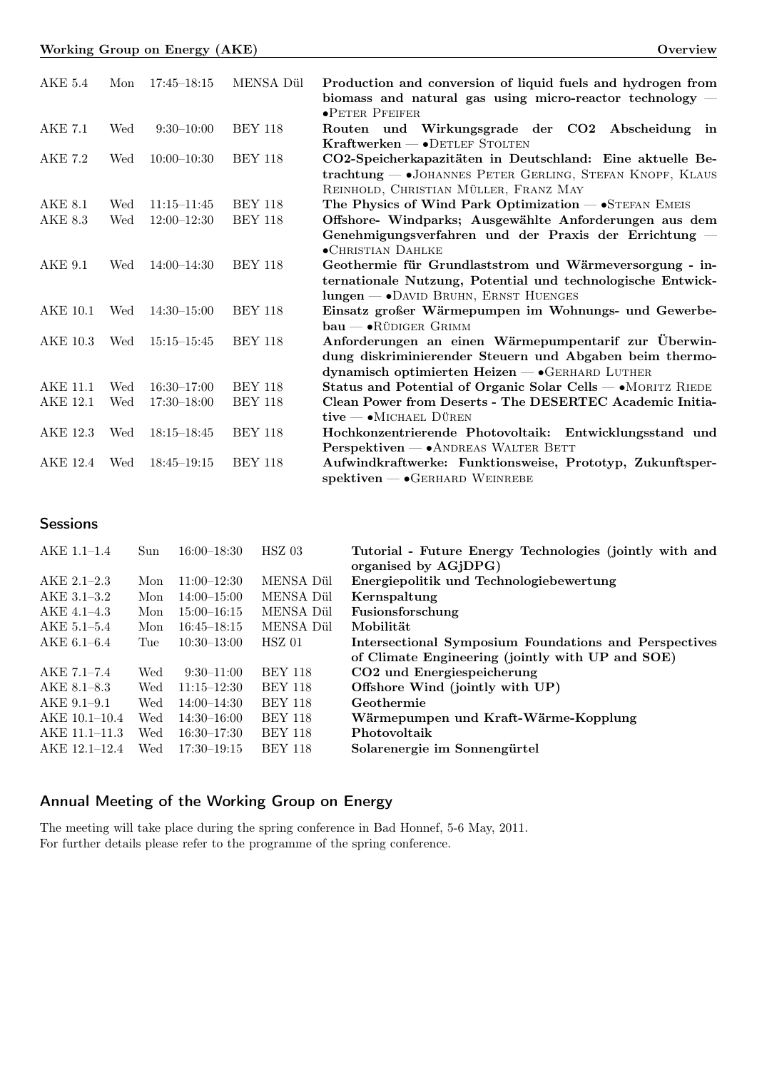|                 |     | Working Group on Energy (AKE) |                | Overview                                                                                                                                                         |
|-----------------|-----|-------------------------------|----------------|------------------------------------------------------------------------------------------------------------------------------------------------------------------|
| $AKE$ 5.4       | Mon | $17:45 - 18:15$               | MENSA Dül      | Production and conversion of liquid fuels and hydrogen from<br>biomass and natural gas using micro-reactor technology $-$<br><b>•PETER PFEIFER</b>               |
| <b>AKE 7.1</b>  | Wed | $9:30-10:00$                  | <b>BEY 118</b> | Routen und Wirkungsgrade der CO2 Abscheidung in<br>Kraftwerken - • DETLEF STOLTEN                                                                                |
| AKE 7.2         | Wed | $10:00-10:30$                 | <b>BEY 118</b> | CO2-Speicherkapazitäten in Deutschland: Eine aktuelle Be-<br>trachtung - JOHANNES PETER GERLING, STEFAN KNOPF, KLAUS<br>REINHOLD, CHRISTIAN MÜLLER, FRANZ MAY    |
| <b>AKE 8.1</b>  | Wed | $11:15 - 11:45$               | <b>BEY 118</b> | The Physics of Wind Park Optimization $ \bullet$ STEFAN EMEIS                                                                                                    |
| AKE 8.3         | Wed | $12:00 - 12:30$               | <b>BEY 118</b> | Offshore- Windparks; Ausgewählte Anforderungen aus dem<br>Genehmigungsverfahren und der Praxis der Errichtung –<br><b>• CHRISTIAN DAHLKE</b>                     |
| <b>AKE 9.1</b>  | Wed | $14:00 - 14:30$               | <b>BEY 118</b> | Geothermie für Grundlaststrom und Wärmeversorgung - in-<br>ternationale Nutzung, Potential und technologische Entwick-<br>lungen - • DAVID BRUHN, ERNST HUENGES  |
| AKE 10.1        | Wed | $14:30 - 15:00$               | <b>BEY 118</b> | Einsatz großer Wärmepumpen im Wohnungs- und Gewerbe-<br>$bau - \bullet$ RÜDIGER GRIMM                                                                            |
| <b>AKE 10.3</b> | Wed | $15:15 - 15:45$               | <b>BEY 118</b> | Anforderungen an einen Wärmepumpentarif zur Überwin-<br>dung diskriminierender Steuern und Abgaben beim thermo-<br>dynamisch optimierten Heizen - GERHARD LUTHER |
| <b>AKE 11.1</b> | Wed | $16:30 - 17:00$               | <b>BEY 118</b> | Status and Potential of Organic Solar Cells - • MORITZ RIEDE                                                                                                     |
| <b>AKE 12.1</b> | Wed | $17:30 - 18:00$               | <b>BEY 118</b> | Clean Power from Deserts - The DESERTEC Academic Initia-<br>$tive$ $\bullet$ Michael Düren                                                                       |
| AKE 12.3        | Wed | $18:15 - 18:45$               | <b>BEY 118</b> | Hochkonzentrierende Photovoltaik: Entwicklungsstand und<br>Perspektiven - ANDREAS WALTER BETT                                                                    |
| AKE 12.4        | Wed | $18:45 - 19:15$               | <b>BEY 118</b> | Aufwindkraftwerke: Funktionsweise, Prototyp, Zukunftsper-<br>$s$ pektiven — $\bullet$ GERHARD WEINREBE                                                           |

# **Sessions**

| $AKE$ 1.1-1.4   | Sun | $16:00 - 18:30$ | $HSZ$ 03         | Tutorial - Future Energy Technologies (jointly with and |
|-----------------|-----|-----------------|------------------|---------------------------------------------------------|
|                 |     |                 |                  | organised by AGJDPG)                                    |
| $AKE 2.1 - 2.3$ | Mon | $11:00-12:30$   | MENSA Dül        | Energiepolitik und Technologiebewertung                 |
| AKE 3.1-3.2     | Mon | $14:00 - 15:00$ | MENSA Dül        | Kernspaltung                                            |
| AKE 4.1-4.3     | Mon | $15:00 - 16:15$ | <b>MENSA Dil</b> | Fusionsforschung                                        |
| $AKE$ 5.1-5.4   | Mon | $16:45 - 18:15$ | <b>MENSA Dil</b> | Mobilität                                               |
| $AKE 6.1 - 6.4$ | Tue | $10:30 - 13:00$ | $HSZ$ 01         | Intersectional Symposium Foundations and Perspectives   |
|                 |     |                 |                  | of Climate Engineering (jointly with UP and SOE)        |
| AKE 7.1-7.4     | Wed | $9:30-11:00$    | <b>BEY 118</b>   | CO <sub>2</sub> und Energiespeicherung                  |
| AKE 8.1–8.3     | Wed | $11:15 - 12:30$ | <b>BEY 118</b>   | Offshore Wind (jointly with UP)                         |
| $AKE 9.1 - 9.1$ | Wed | $14:00 - 14:30$ | <b>BEY 118</b>   | Geothermie                                              |
| AKE 10.1-10.4   | Wed | $14:30 - 16:00$ | <b>BEY 118</b>   | Wärmepumpen und Kraft-Wärme-Kopplung                    |
| AKE 11.1-11.3   | Wed | $16:30-17:30$   | <b>BEY 118</b>   | Photovoltaik                                            |
| AKE 12.1-12.4   | Wed | $17:30 - 19:15$ | <b>BEY 118</b>   | Solarenergie im Sonnengürtel                            |

# Annual Meeting of the Working Group on Energy

The meeting will take place during the spring conference in Bad Honnef, 5-6 May, 2011. For further details please refer to the programme of the spring conference.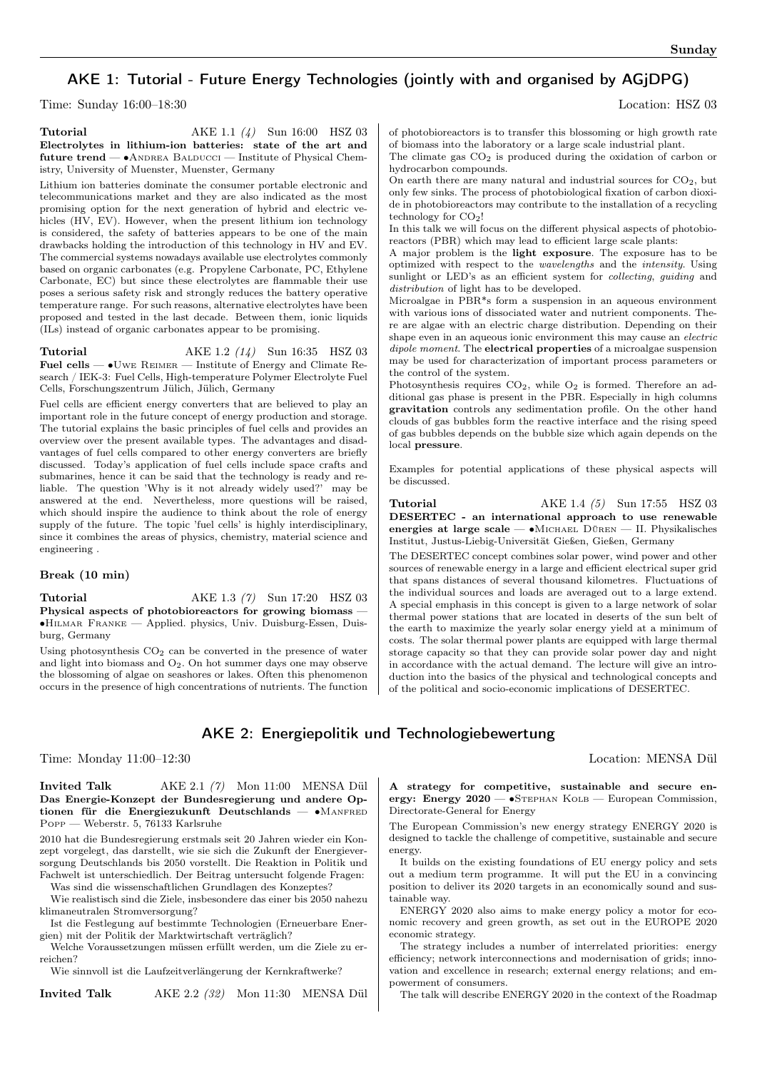## AKE 1: Tutorial - Future Energy Technologies (jointly with and organised by AGjDPG)

Time: Sunday 16:00–18:30 Location: HSZ 03

**Tutorial** AKE 1.1 (4) Sun 16:00 HSZ 03 Electrolytes in lithium-ion batteries: state of the art and future trend — ∙Andrea Balducci — Institute of Physical Chemistry, University of Muenster, Muenster, Germany

Lithium ion batteries dominate the consumer portable electronic and telecommunications market and they are also indicated as the most promising option for the next generation of hybrid and electric vehicles (HV, EV). However, when the present lithium ion technology is considered, the safety of batteries appears to be one of the main drawbacks holding the introduction of this technology in HV and EV. The commercial systems nowadays available use electrolytes commonly based on organic carbonates (e.g. Propylene Carbonate, PC, Ethylene Carbonate, EC) but since these electrolytes are flammable their use poses a serious safety risk and strongly reduces the battery operative temperature range. For such reasons, alternative electrolytes have been proposed and tested in the last decade. Between them, ionic liquids (ILs) instead of organic carbonates appear to be promising.

**Tutorial** AKE 1.2 (14) Sun 16:35 HSZ 03 Fuel cells — ∙Uwe Reimer — Institute of Energy and Climate Research / IEK-3: Fuel Cells, High-temperature Polymer Electrolyte Fuel Cells, Forschungszentrum Jülich, Jülich, Germany

Fuel cells are efficient energy converters that are believed to play an important role in the future concept of energy production and storage. The tutorial explains the basic principles of fuel cells and provides an overview over the present available types. The advantages and disadvantages of fuel cells compared to other energy converters are briefly discussed. Today's application of fuel cells include space crafts and submarines, hence it can be said that the technology is ready and reliable. The question 'Why is it not already widely used?' may be answered at the end. Nevertheless, more questions will be raised, which should inspire the audience to think about the role of energy supply of the future. The topic 'fuel cells' is highly interdisciplinary, since it combines the areas of physics, chemistry, material science and engineering .

### Break (10 min)

**Tutorial** AKE 1.3 (7) Sun 17:20 HSZ 03 Physical aspects of photobioreactors for growing biomass -∙Hilmar Franke — Applied. physics, Univ. Duisburg-Essen, Duisburg, Germany

Using photosynthesis CO<sup>2</sup> can be converted in the presence of water and light into biomass and  $O_2$ . On hot summer days one may observe the blossoming of algae on seashores or lakes. Often this phenomenon occurs in the presence of high concentrations of nutrients. The function of photobioreactors is to transfer this blossoming or high growth rate of biomass into the laboratory or a large scale industrial plant.

The climate gas  $CO<sub>2</sub>$  is produced during the oxidation of carbon or hydrocarbon compounds.

On earth there are many natural and industrial sources for  $CO<sub>2</sub>$ , but only few sinks. The process of photobiological fixation of carbon dioxide in photobioreactors may contribute to the installation of a recycling technology for CO2!

In this talk we will focus on the different physical aspects of photobioreactors (PBR) which may lead to efficient large scale plants:

A major problem is the light exposure. The exposure has to be optimized with respect to the wavelengths and the intensity. Using sunlight or LED's as an efficient system for *collecting*, *guiding* and distribution of light has to be developed.

Microalgae in PBR\*s form a suspension in an aqueous environment with various ions of dissociated water and nutrient components. There are algae with an electric charge distribution. Depending on their shape even in an aqueous ionic environment this may cause an *electric* dipole moment. The electrical properties of a microalgae suspension may be used for characterization of important process parameters or the control of the system.

Photosynthesis requires  $CO<sub>2</sub>$ , while  $O<sub>2</sub>$  is formed. Therefore an additional gas phase is present in the PBR. Especially in high columns gravitation controls any sedimentation profile. On the other hand clouds of gas bubbles form the reactive interface and the rising speed of gas bubbles depends on the bubble size which again depends on the local pressure.

Examples for potential applications of these physical aspects will be discussed.

**Tutorial** AKE 1.4 (5) Sun 17:55 HSZ 03 DESERTEC - an international approach to use renewable energies at large scale — ∙Michael Düren — II. Physikalisches Institut, Justus-Liebig-Universität Gießen, Gießen, Germany

The DESERTEC concept combines solar power, wind power and other sources of renewable energy in a large and efficient electrical super grid that spans distances of several thousand kilometres. Fluctuations of the individual sources and loads are averaged out to a large extend. A special emphasis in this concept is given to a large network of solar thermal power stations that are located in deserts of the sun belt of the earth to maximize the yearly solar energy yield at a minimum of costs. The solar thermal power plants are equipped with large thermal storage capacity so that they can provide solar power day and night in accordance with the actual demand. The lecture will give an introduction into the basics of the physical and technological concepts and of the political and socio-economic implications of DESERTEC.

### AKE 2: Energiepolitik und Technologiebewertung

Time: Monday 11:00–12:30 Location: MENSA Dül

Invited Talk AKE 2.1 (7) Mon 11:00 MENSA Dül Das Energie-Konzept der Bundesregierung und andere Optionen für die Energiezukunft Deutschlands — ∙Manfred Popp — Weberstr. 5, 76133 Karlsruhe

2010 hat die Bundesregierung erstmals seit 20 Jahren wieder ein Konzept vorgelegt, das darstellt, wie sie sich die Zukunft der Energieversorgung Deutschlands bis 2050 vorstellt. Die Reaktion in Politik und Fachwelt ist unterschiedlich. Der Beitrag untersucht folgende Fragen:

Was sind die wissenschaftlichen Grundlagen des Konzeptes? Wie realistisch sind die Ziele, insbesondere das einer bis 2050 nahezu klimaneutralen Stromversorgung?

Ist die Festlegung auf bestimmte Technologien (Erneuerbare Energien) mit der Politik der Marktwirtschaft verträglich?

Welche Voraussetzungen müssen erfüllt werden, um die Ziele zu erreichen?

Wie sinnvoll ist die Laufzeitverlängerung der Kernkraftwerke?

Invited Talk AKE 2.2 (32) Mon 11:30 MENSA Dül

A strategy for competitive, sustainable and secure energy: Energy 2020 — •STEPHAN KOLB — European Commission, Directorate-General for Energy

The European Commission's new energy strategy ENERGY 2020 is designed to tackle the challenge of competitive, sustainable and secure energy.

It builds on the existing foundations of EU energy policy and sets out a medium term programme. It will put the EU in a convincing position to deliver its 2020 targets in an economically sound and sustainable way.

ENERGY 2020 also aims to make energy policy a motor for economic recovery and green growth, as set out in the EUROPE 2020 economic strategy.

The strategy includes a number of interrelated priorities: energy efficiency; network interconnections and modernisation of grids; innovation and excellence in research; external energy relations; and empowerment of consumers.

The talk will describe ENERGY 2020 in the context of the Roadmap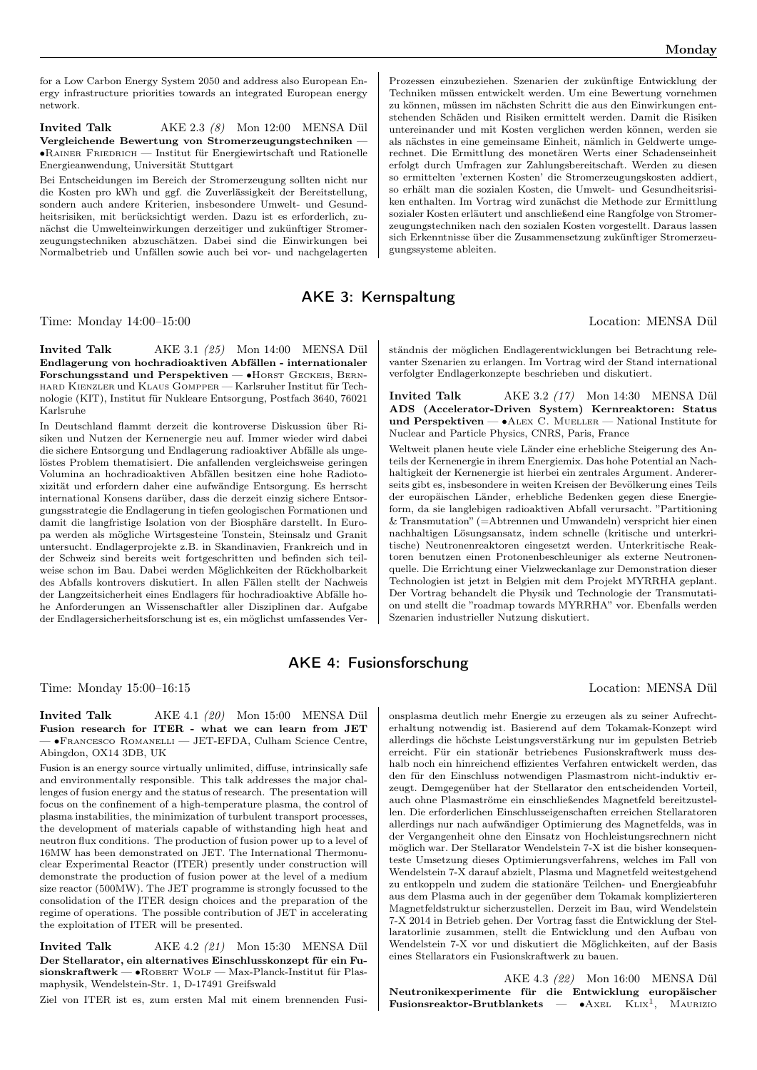for a Low Carbon Energy System 2050 and address also European Energy infrastructure priorities towards an integrated European energy network.

Invited Talk AKE 2.3 (8) Mon 12:00 MENSA Dül Vergleichende Bewertung von Stromerzeugungstechniken — ∙Rainer Friedrich — Institut für Energiewirtschaft und Rationelle Energieanwendung, Universität Stuttgart

Bei Entscheidungen im Bereich der Stromerzeugung sollten nicht nur die Kosten pro kWh und ggf. die Zuverlässigkeit der Bereitstellung, sondern auch andere Kriterien, insbesondere Umwelt- und Gesundheitsrisiken, mit berücksichtigt werden. Dazu ist es erforderlich, zunächst die Umwelteinwirkungen derzeitiger und zukünftiger Stromerzeugungstechniken abzuschätzen. Dabei sind die Einwirkungen bei Normalbetrieb und Unfällen sowie auch bei vor- und nachgelagerten

### AKE 3: Kernspaltung

Time: Monday 14:00–15:00 Location: MENSA Dül

Invited Talk AKE 3.1 (25) Mon 14:00 MENSA Dül Endlagerung von hochradioaktiven Abfällen - internationaler Forschungsstand und Perspektiven — •HORST GECKEIS, BERNhard Kienzler und Klaus Gompper — Karlsruher Institut für Technologie (KIT), Institut für Nukleare Entsorgung, Postfach 3640, 76021 Karlsruhe

In Deutschland flammt derzeit die kontroverse Diskussion über Risiken und Nutzen der Kernenergie neu auf. Immer wieder wird dabei die sichere Entsorgung und Endlagerung radioaktiver Abfälle als ungelöstes Problem thematisiert. Die anfallenden vergleichsweise geringen Volumina an hochradioaktiven Abfällen besitzen eine hohe Radiotoxizität und erfordern daher eine aufwändige Entsorgung. Es herrscht international Konsens darüber, dass die derzeit einzig sichere Entsorgungsstrategie die Endlagerung in tiefen geologischen Formationen und damit die langfristige Isolation von der Biosphäre darstellt. In Europa werden als mögliche Wirtsgesteine Tonstein, Steinsalz und Granit untersucht. Endlagerprojekte z.B. in Skandinavien, Frankreich und in der Schweiz sind bereits weit fortgeschritten und befinden sich teilweise schon im Bau. Dabei werden Möglichkeiten der Rückholbarkeit des Abfalls kontrovers diskutiert. In allen Fällen stellt der Nachweis der Langzeitsicherheit eines Endlagers für hochradioaktive Abfälle hohe Anforderungen an Wissenschaftler aller Disziplinen dar. Aufgabe der Endlagersicherheitsforschung ist es, ein möglichst umfassendes Ver-

Prozessen einzubeziehen. Szenarien der zukünftige Entwicklung der Techniken müssen entwickelt werden. Um eine Bewertung vornehmen zu können, müssen im nächsten Schritt die aus den Einwirkungen entstehenden Schäden und Risiken ermittelt werden. Damit die Risiken untereinander und mit Kosten verglichen werden können, werden sie als nächstes in eine gemeinsame Einheit, nämlich in Geldwerte umgerechnet. Die Ermittlung des monetären Werts einer Schadenseinheit erfolgt durch Umfragen zur Zahlungsbereitschaft. Werden zu diesen so ermittelten 'externen Kosten' die Stromerzeugungskosten addiert, so erhält man die sozialen Kosten, die Umwelt- und Gesundheitsrisiken enthalten. Im Vortrag wird zunächst die Methode zur Ermittlung sozialer Kosten erläutert und anschließend eine Rangfolge von Stromerzeugungstechniken nach den sozialen Kosten vorgestellt. Daraus lassen sich Erkenntnisse über die Zusammensetzung zukünftiger Stromerzeugungssysteme ableiten.

ständnis der möglichen Endlagerentwicklungen bei Betrachtung relevanter Szenarien zu erlangen. Im Vortrag wird der Stand international verfolgter Endlagerkonzepte beschrieben und diskutiert.

Invited Talk AKE 3.2 (17) Mon 14:30 MENSA Dül ADS (Accelerator-Driven System) Kernreaktoren: Status und Perspektiven — ∙Alex C. Mueller — National Institute for Nuclear and Particle Physics, CNRS, Paris, France

Weltweit planen heute viele Länder eine erhebliche Steigerung des Anteils der Kernenergie in ihrem Energiemix. Das hohe Potential an Nachhaltigkeit der Kernenergie ist hierbei ein zentrales Argument. Andererseits gibt es, insbesondere in weiten Kreisen der Bevölkerung eines Teils der europäischen Länder, erhebliche Bedenken gegen diese Energieform, da sie langlebigen radioaktiven Abfall verursacht. "Partitioning & Transmutation" (=Abtrennen und Umwandeln) verspricht hier einen nachhaltigen Lösungsansatz, indem schnelle (kritische und unterkritische) Neutronenreaktoren eingesetzt werden. Unterkritische Reaktoren benutzen einen Protonenbeschleuniger als externe Neutronenquelle. Die Errichtung einer Vielzweckanlage zur Demonstration dieser Technologien ist jetzt in Belgien mit dem Projekt MYRRHA geplant. Der Vortrag behandelt die Physik und Technologie der Transmutation und stellt die "roadmap towards MYRRHA" vor. Ebenfalls werden Szenarien industrieller Nutzung diskutiert.

### AKE 4: Fusionsforschung

Time: Monday 15:00–16:15 Location: MENSA Dül

Invited Talk AKE 4.1 (20) Mon 15:00 MENSA Dül Fusion research for ITER - what we can learn from JET — ∙Francesco Romanelli — JET-EFDA, Culham Science Centre, Abingdon, OX14 3DB, UK

Fusion is an energy source virtually unlimited, diffuse, intrinsically safe and environmentally responsible. This talk addresses the major challenges of fusion energy and the status of research. The presentation will focus on the confinement of a high-temperature plasma, the control of plasma instabilities, the minimization of turbulent transport processes, the development of materials capable of withstanding high heat and neutron flux conditions. The production of fusion power up to a level of 16MW has been demonstrated on JET. The International Thermonuclear Experimental Reactor (ITER) presently under construction will demonstrate the production of fusion power at the level of a medium size reactor (500MW). The JET programme is strongly focussed to the consolidation of the ITER design choices and the preparation of the regime of operations. The possible contribution of JET in accelerating the exploitation of ITER will be presented.

Invited Talk AKE 4.2 (21) Mon 15:30 MENSA Dül Der Stellarator, ein alternatives Einschlusskonzept für ein Fusionskraftwerk — •ROBERT WOLF — Max-Planck-Institut für Plasmaphysik, Wendelstein-Str. 1, D-17491 Greifswald

Ziel von ITER ist es, zum ersten Mal mit einem brennenden Fusi-

onsplasma deutlich mehr Energie zu erzeugen als zu seiner Aufrechterhaltung notwendig ist. Basierend auf dem Tokamak-Konzept wird allerdings die höchste Leistungsverstärkung nur im gepulsten Betrieb erreicht. Für ein stationär betriebenes Fusionskraftwerk muss deshalb noch ein hinreichend effizientes Verfahren entwickelt werden, das den für den Einschluss notwendigen Plasmastrom nicht-induktiv erzeugt. Demgegenüber hat der Stellarator den entscheidenden Vorteil, auch ohne Plasmaströme ein einschließendes Magnetfeld bereitzustellen. Die erforderlichen Einschlusseigenschaften erreichen Stellaratoren allerdings nur nach aufwändiger Optimierung des Magnetfelds, was in der Vergangenheit ohne den Einsatz von Hochleistungsrechnern nicht möglich war. Der Stellarator Wendelstein 7-X ist die bisher konsequenteste Umsetzung dieses Optimierungsverfahrens, welches im Fall von Wendelstein 7-X darauf abzielt, Plasma und Magnetfeld weitestgehend zu entkoppeln und zudem die stationäre Teilchen- und Energieabfuhr aus dem Plasma auch in der gegenüber dem Tokamak komplizierteren Magnetfeldstruktur sicherzustellen. Derzeit im Bau, wird Wendelstein 7-X 2014 in Betrieb gehen. Der Vortrag fasst die Entwicklung der Stellaratorlinie zusammen, stellt die Entwicklung und den Aufbau von Wendelstein 7-X vor und diskutiert die Möglichkeiten, auf der Basis eines Stellarators ein Fusionskraftwerk zu bauen.

AKE 4.3 (22) Mon 16:00 MENSA Dül Neutronikexperimente für die Entwicklung europäischer Fusionsreaktor-Brutblankets — ∙Axel Klix<sup>1</sup> , Maurizio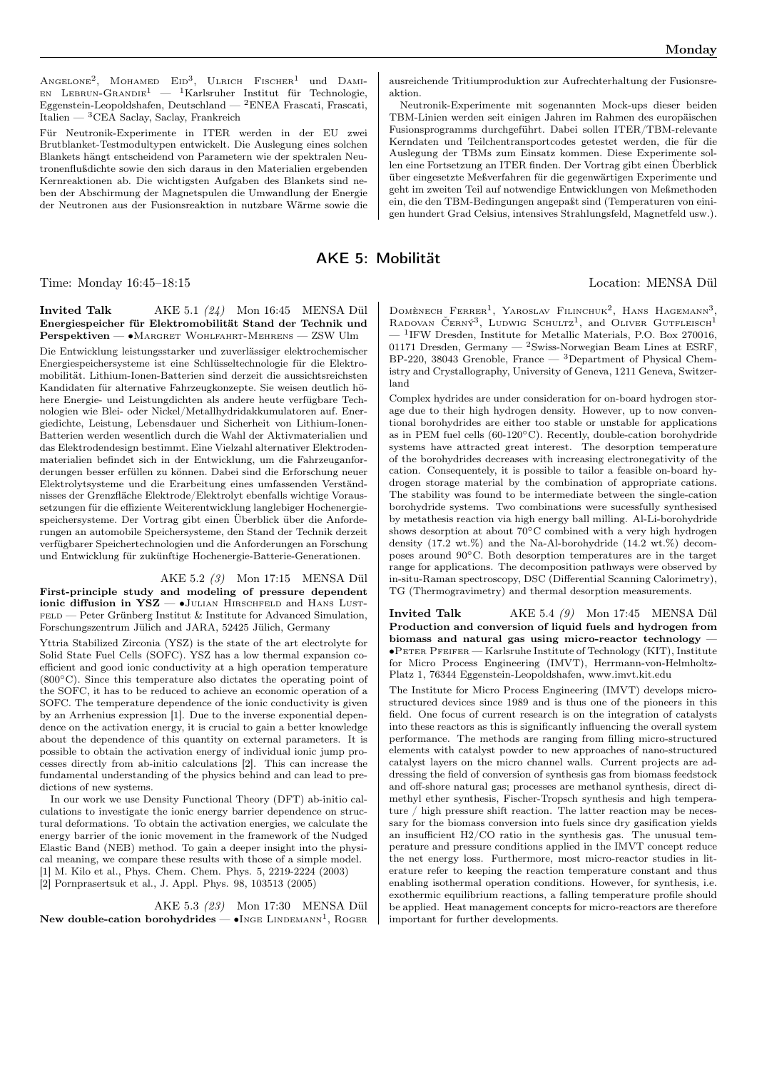$A$ ngelone<sup>2</sup>, Mohamed Eid<sup>3</sup>, Ulrich Fischer<sup>1</sup> und Dami- $EN$  LEBRUN-GRANDIE<sup>1</sup> — <sup>1</sup>Karlsruher Institut für Technologie, Eggenstein-Leopoldshafen, Deutschland — <sup>2</sup>ENEA Frascati, Frascati, Italien — <sup>3</sup>CEA Saclay, Saclay, Frankreich

Für Neutronik-Experimente in ITER werden in der EU zwei Brutblanket-Testmodultypen entwickelt. Die Auslegung eines solchen Blankets hängt entscheidend von Parametern wie der spektralen Neutronenflußdichte sowie den sich daraus in den Materialien ergebenden Kernreaktionen ab. Die wichtigsten Aufgaben des Blankets sind neben der Abschirmung der Magnetspulen die Umwandlung der Energie der Neutronen aus der Fusionsreaktion in nutzbare Wärme sowie die

AKE 5: Mobilität

Time: Monday 16:45–18:15 Location: MENSA Dül

Invited Talk AKE 5.1 (24) Mon 16:45 MENSA Dül Energiespeicher für Elektromobilität Stand der Technik und Perspektiven — ∙Margret Wohlfahrt-Mehrens — ZSW Ulm

Die Entwicklung leistungsstarker und zuverlässiger elektrochemischer Energiespeichersysteme ist eine Schlüsseltechnologie für die Elektromobilität. Lithium-Ionen-Batterien sind derzeit die aussichtsreichsten Kandidaten für alternative Fahrzeugkonzepte. Sie weisen deutlich höhere Energie- und Leistungdichten als andere heute verfügbare Technologien wie Blei- oder Nickel/Metallhydridakkumulatoren auf. Energiedichte, Leistung, Lebensdauer und Sicherheit von Lithium-Ionen-Batterien werden wesentlich durch die Wahl der Aktivmaterialien und das Elektrodendesign bestimmt. Eine Vielzahl alternativer Elektrodenmaterialien befindet sich in der Entwicklung, um die Fahrzeuganforderungen besser erfüllen zu können. Dabei sind die Erforschung neuer Elektrolytsysteme und die Erarbeitung eines umfassenden Verständnisses der Grenzfläche Elektrode/Elektrolyt ebenfalls wichtige Voraussetzungen für die effiziente Weiterentwicklung langlebiger Hochenergiespeichersysteme. Der Vortrag gibt einen Überblick über die Anforderungen an automobile Speichersysteme, den Stand der Technik derzeit verfügbarer Speichertechnologien und die Anforderungen an Forschung und Entwicklung für zukünftige Hochenergie-Batterie-Generationen.

AKE 5.2 (3) Mon 17:15 MENSA Dül First-principle study and modeling of pressure dependent ionic diffusion in YSZ — •JULIAN HIRSCHFELD and HANS LUST-FELD — Peter Grünberg Institut & Institute for Advanced Simulation, Forschungszentrum Jülich and JARA, 52425 Jülich, Germany

Yttria Stabilized Zirconia (YSZ) is the state of the art electrolyte for Solid State Fuel Cells (SOFC). YSZ has a low thermal expansion coefficient and good ionic conductivity at a high operation temperature (800∘C). Since this temperature also dictates the operating point of the SOFC, it has to be reduced to achieve an economic operation of a SOFC. The temperature dependence of the ionic conductivity is given by an Arrhenius expression [1]. Due to the inverse exponential dependence on the activation energy, it is crucial to gain a better knowledge about the dependence of this quantity on external parameters. It is possible to obtain the activation energy of individual ionic jump processes directly from ab-initio calculations [2]. This can increase the fundamental understanding of the physics behind and can lead to predictions of new systems.

In our work we use Density Functional Theory (DFT) ab-initio calculations to investigate the ionic energy barrier dependence on structural deformations. To obtain the activation energies, we calculate the energy barrier of the ionic movement in the framework of the Nudged Elastic Band (NEB) method. To gain a deeper insight into the physical meaning, we compare these results with those of a simple model. [1] M. Kilo et al., Phys. Chem. Chem. Phys. 5, 2219-2224 (2003) [2] Pornprasertsuk et al., J. Appl. Phys. 98, 103513 (2005)

AKE 5.3 (23) Mon 17:30 MENSA Dül New double-cation borohydrides —  $\bullet$ Inge Lindemann<sup>1</sup>, Roger

ausreichende Tritiumproduktion zur Aufrechterhaltung der Fusionsreaktion.

Neutronik-Experimente mit sogenannten Mock-ups dieser beiden TBM-Linien werden seit einigen Jahren im Rahmen des europäischen Fusionsprogramms durchgeführt. Dabei sollen ITER/TBM-relevante Kerndaten und Teilchentransportcodes getestet werden, die für die Auslegung der TBMs zum Einsatz kommen. Diese Experimente sollen eine Fortsetzung an ITER finden. Der Vortrag gibt einen Überblick über eingesetzte Meßverfahren für die gegenwärtigen Experimente und geht im zweiten Teil auf notwendige Entwicklungen von Meßmethoden ein, die den TBM-Bedingungen angepaßt sind (Temperaturen von einigen hundert Grad Celsius, intensives Strahlungsfeld, Magnetfeld usw.).

DOMÈNECH FERRER<sup>1</sup>, YAROSLAV FILINCHUK<sup>2</sup>, HANS HAGEMANN<sup>3</sup>, RADOVAN ČERNÝ<sup>3</sup>, LUDWIG SCHULTZ<sup>1</sup>, and OLIVER GUTFLEISCH<sup>1</sup>  $-1$ <sup>1</sup>IFW Dresden, Institute for Metallic Materials, P.O. Box 270016, 01171 Dresden, Germany — <sup>2</sup>Swiss-Norwegian Beam Lines at ESRF, BP-220, 38043 Grenoble, France — <sup>3</sup>Department of Physical Chemistry and Crystallography, University of Geneva, 1211 Geneva, Switzerland

Complex hydrides are under consideration for on-board hydrogen storage due to their high hydrogen density. However, up to now conventional borohydrides are either too stable or unstable for applications as in PEM fuel cells (60-120∘C). Recently, double-cation borohydride systems have attracted great interest. The desorption temperature of the borohydrides decreases with increasing electronegativity of the cation. Consequentely, it is possible to tailor a feasible on-board hydrogen storage material by the combination of appropriate cations. The stability was found to be intermediate between the single-cation borohydride systems. Two combinations were sucessfully synthesised by metathesis reaction via high energy ball milling. Al-Li-borohydride shows desorption at about 70∘C combined with a very high hydrogen density (17.2 wt.%) and the Na-Al-borohydride (14.2 wt.%) decomposes around 90∘C. Both desorption temperatures are in the target range for applications. The decomposition pathways were observed by in-situ-Raman spectroscopy, DSC (Differential Scanning Calorimetry), TG (Thermogravimetry) and thermal desorption measurements.

Invited Talk AKE 5.4 (9) Mon 17:45 MENSA Dül Production and conversion of liquid fuels and hydrogen from biomass and natural gas using micro-reactor technology — ∙Peter Pfeifer — Karlsruhe Institute of Technology (KIT), Institute for Micro Process Engineering (IMVT), Herrmann-von-Helmholtz-Platz 1, 76344 Eggenstein-Leopoldshafen, www.imvt.kit.edu

The Institute for Micro Process Engineering (IMVT) develops microstructured devices since 1989 and is thus one of the pioneers in this field. One focus of current research is on the integration of catalysts into these reactors as this is significantly influencing the overall system performance. The methods are ranging from filling micro-structured elements with catalyst powder to new approaches of nano-structured catalyst layers on the micro channel walls. Current projects are addressing the field of conversion of synthesis gas from biomass feedstock and off-shore natural gas; processes are methanol synthesis, direct dimethyl ether synthesis, Fischer-Tropsch synthesis and high temperature / high pressure shift reaction. The latter reaction may be necessary for the biomass conversion into fuels since dry gasification yields an insufficient H2/CO ratio in the synthesis gas. The unusual temperature and pressure conditions applied in the IMVT concept reduce the net energy loss. Furthermore, most micro-reactor studies in literature refer to keeping the reaction temperature constant and thus enabling isothermal operation conditions. However, for synthesis, i.e. exothermic equilibrium reactions, a falling temperature profile should be applied. Heat management concepts for micro-reactors are therefore important for further developments.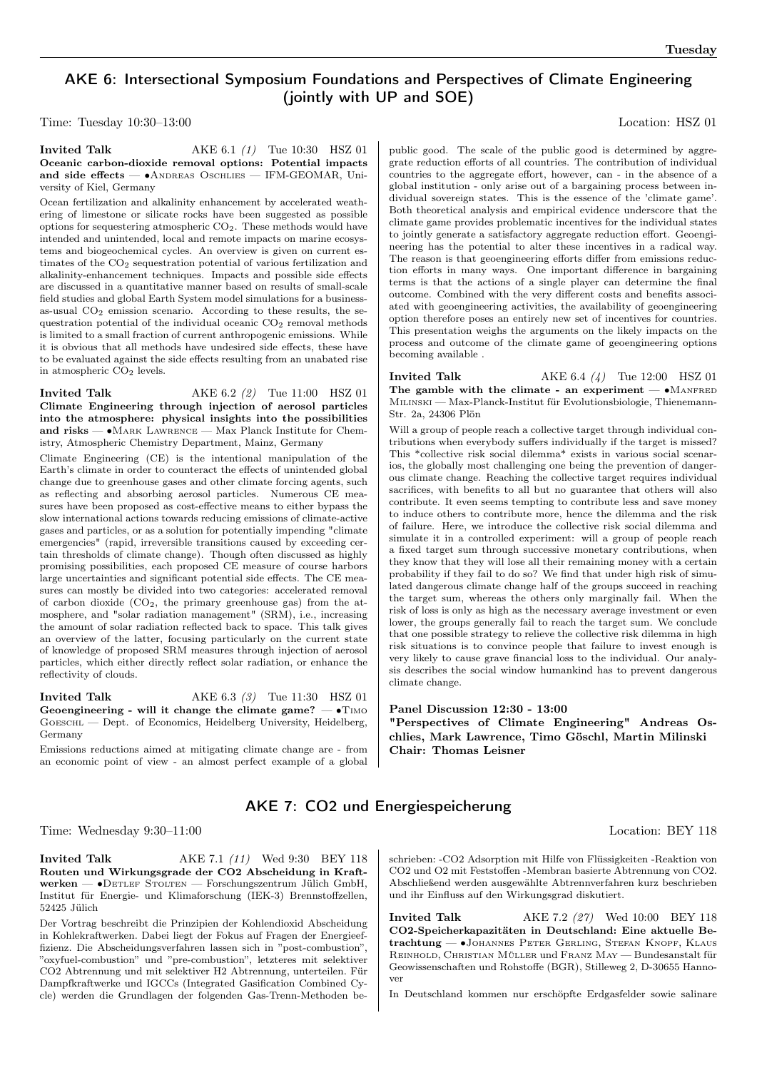# AKE 6: Intersectional Symposium Foundations and Perspectives of Climate Engineering (jointly with UP and SOE)

Time: Tuesday 10:30–13:00 Location: HSZ 01

### **Invited Talk** AKE 6.1 (1) Tue 10:30 HSZ 01 Oceanic carbon-dioxide removal options: Potential impacts and side effects — • ANDREAS OSCHLIES — IFM-GEOMAR, University of Kiel, Germany

Ocean fertilization and alkalinity enhancement by accelerated weathering of limestone or silicate rocks have been suggested as possible options for sequestering atmospheric CO2. These methods would have intended and unintended, local and remote impacts on marine ecosystems and biogeochemical cycles. An overview is given on current estimates of the CO<sub>2</sub> sequestration potential of various fertilization and alkalinity-enhancement techniques. Impacts and possible side effects are discussed in a quantitative manner based on results of small-scale field studies and global Earth System model simulations for a businessas-usual  $CO<sub>2</sub>$  emission scenario. According to these results, the sequestration potential of the individual oceanic  $CO<sub>2</sub>$  removal methods is limited to a small fraction of current anthropogenic emissions. While it is obvious that all methods have undesired side effects, these have to be evaluated against the side effects resulting from an unabated rise in atmospheric  $CO<sub>2</sub>$  levels.

Invited Talk  $AKE 6.2 (2)$  Tue 11:00 HSZ 01 Climate Engineering through injection of aerosol particles into the atmosphere: physical insights into the possibilities and risks — ∙Mark Lawrence — Max Planck Institute for Chemistry, Atmospheric Chemistry Department, Mainz, Germany

Climate Engineering (CE) is the intentional manipulation of the Earth's climate in order to counteract the effects of unintended global change due to greenhouse gases and other climate forcing agents, such as reflecting and absorbing aerosol particles. Numerous CE measures have been proposed as cost-effective means to either bypass the slow international actions towards reducing emissions of climate-active gases and particles, or as a solution for potentially impending "climate emergencies" (rapid, irreversible transitions caused by exceeding certain thresholds of climate change). Though often discussed as highly promising possibilities, each proposed CE measure of course harbors large uncertainties and significant potential side effects. The CE measures can mostly be divided into two categories: accelerated removal of carbon dioxide  $(CO<sub>2</sub>)$ , the primary greenhouse gas) from the atmosphere, and "solar radiation management" (SRM), i.e., increasing the amount of solar radiation reflected back to space. This talk gives an overview of the latter, focusing particularly on the current state of knowledge of proposed SRM measures through injection of aerosol particles, which either directly reflect solar radiation, or enhance the reflectivity of clouds.

**Invited Talk** AKE 6.3 (3) Tue 11:30 HSZ 01 Geoengineering - will it change the climate game?  $- \cdot$ TIMO Goeschl — Dept. of Economics, Heidelberg University, Heidelberg, Germany

Emissions reductions aimed at mitigating climate change are - from an economic point of view - an almost perfect example of a global

public good. The scale of the public good is determined by aggregrate reduction efforts of all countries. The contribution of individual countries to the aggregate effort, however, can - in the absence of a global institution - only arise out of a bargaining process between individual sovereign states. This is the essence of the 'climate game'. Both theoretical analysis and empirical evidence underscore that the climate game provides problematic incentives for the individual states to jointly generate a satisfactory aggregate reduction effort. Geoengineering has the potential to alter these incentives in a radical way. The reason is that geoengineering efforts differ from emissions reduction efforts in many ways. One important difference in bargaining terms is that the actions of a single player can determine the final outcome. Combined with the very different costs and benefits associated with geoengineering activities, the availability of geoengineering option therefore poses an entirely new set of incentives for countries. This presentation weighs the arguments on the likely impacts on the process and outcome of the climate game of geoengineering options becoming available .

**Invited Talk**  $AKE 6.4 (4)$  Tue 12:00 HSZ 01 The gamble with the climate - an experiment —  $\bullet$ MANFRED Milinski — Max-Planck-Institut für Evolutionsbiologie, Thienemann-Str. 2a, 24306 Plön

Will a group of people reach a collective target through individual contributions when everybody suffers individually if the target is missed? This \*collective risk social dilemma\* exists in various social scenarios, the globally most challenging one being the prevention of dangerous climate change. Reaching the collective target requires individual sacrifices, with benefits to all but no guarantee that others will also contribute. It even seems tempting to contribute less and save money to induce others to contribute more, hence the dilemma and the risk of failure. Here, we introduce the collective risk social dilemma and simulate it in a controlled experiment: will a group of people reach a fixed target sum through successive monetary contributions, when they know that they will lose all their remaining money with a certain probability if they fail to do so? We find that under high risk of simulated dangerous climate change half of the groups succeed in reaching the target sum, whereas the others only marginally fail. When the risk of loss is only as high as the necessary average investment or even lower, the groups generally fail to reach the target sum. We conclude that one possible strategy to relieve the collective risk dilemma in high risk situations is to convince people that failure to invest enough is very likely to cause grave financial loss to the individual. Our analysis describes the social window humankind has to prevent dangerous climate change.

### Panel Discussion 12:30 - 13:00

"Perspectives of Climate Engineering" Andreas Oschlies, Mark Lawrence, Timo Göschl, Martin Milinski Chair: Thomas Leisner

## AKE 7: CO2 und Energiespeicherung

Time: Wednesday 9:30–11:00 Location: BEY 118

**Invited Talk** AKE 7.1 (11) Wed 9:30 BEY 118 Routen und Wirkungsgrade der CO2 Abscheidung in Kraftwerken — ∙Detlef Stolten — Forschungszentrum Jülich GmbH, Institut für Energie- und Klimaforschung (IEK-3) Brennstoffzellen, 52425 Jülich

Der Vortrag beschreibt die Prinzipien der Kohlendioxid Abscheidung in Kohlekraftwerken. Dabei liegt der Fokus auf Fragen der Energieeffizienz. Die Abscheidungsverfahren lassen sich in "post-combustion", "oxyfuel-combustion" und "pre-combustion", letzteres mit selektiver CO2 Abtrennung und mit selektiver H2 Abtrennung, unterteilen. Für Dampfkraftwerke und IGCCs (Integrated Gasification Combined Cycle) werden die Grundlagen der folgenden Gas-Trenn-Methoden be-

schrieben: -CO2 Adsorption mit Hilfe von Flüssigkeiten -Reaktion von CO2 und O2 mit Feststoffen -Membran basierte Abtrennung von CO2. Abschließend werden ausgewählte Abtrennverfahren kurz beschrieben und ihr Einfluss auf den Wirkungsgrad diskutiert.

**Invited Talk** AKE 7.2 (27) Wed 10:00 BEY 118 CO2-Speicherkapazitäten in Deutschland: Eine aktuelle Betrachtung — ∙Johannes Peter Gerling, Stefan Knopf, Klaus Reinhold, Christian Müller und Franz May — Bundesanstalt für Geowissenschaften und Rohstoffe (BGR), Stilleweg 2, D-30655 Hannover

In Deutschland kommen nur erschöpfte Erdgasfelder sowie salinare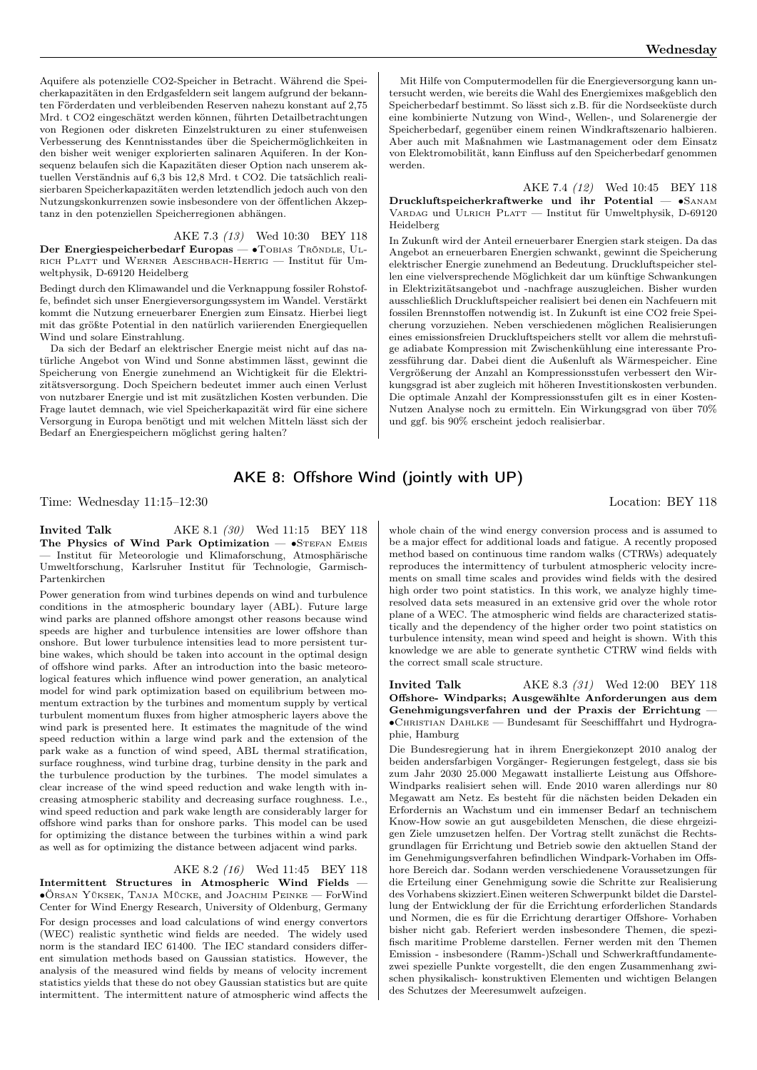Aquifere als potenzielle CO2-Speicher in Betracht. Während die Speicherkapazitäten in den Erdgasfeldern seit langem aufgrund der bekannten Förderdaten und verbleibenden Reserven nahezu konstant auf 2,75 Mrd. t CO2 eingeschätzt werden können, führten Detailbetrachtungen von Regionen oder diskreten Einzelstrukturen zu einer stufenweisen Verbesserung des Kenntnisstandes über die Speichermöglichkeiten in den bisher weit weniger explorierten salinaren Aquiferen. In der Konsequenz belaufen sich die Kapazitäten dieser Option nach unserem aktuellen Verständnis auf 6,3 bis 12,8 Mrd. t CO2. Die tatsächlich realisierbaren Speicherkapazitäten werden letztendlich jedoch auch von den Nutzungskonkurrenzen sowie insbesondere von der öffentlichen Akzeptanz in den potenziellen Speicherregionen abhängen.

AKE 7.3 (13) Wed 10:30 BEY 118 Der Energiespeicherbedarf Europas — •TOBIAS TRÖNDLE, ULrich Platt und Werner Aeschbach-Hertig — Institut für Umweltphysik, D-69120 Heidelberg

Bedingt durch den Klimawandel und die Verknappung fossiler Rohstoffe, befindet sich unser Energieversorgungssystem im Wandel. Verstärkt kommt die Nutzung erneuerbarer Energien zum Einsatz. Hierbei liegt mit das größte Potential in den natürlich variierenden Energiequellen Wind und solare Einstrahlung.

Da sich der Bedarf an elektrischer Energie meist nicht auf das natürliche Angebot von Wind und Sonne abstimmen lässt, gewinnt die Speicherung von Energie zunehmend an Wichtigkeit für die Elektrizitätsversorgung. Doch Speichern bedeutet immer auch einen Verlust von nutzbarer Energie und ist mit zusätzlichen Kosten verbunden. Die Frage lautet demnach, wie viel Speicherkapazität wird für eine sichere Versorgung in Europa benötigt und mit welchen Mitteln lässt sich der Bedarf an Energiespeichern möglichst gering halten?

Mit Hilfe von Computermodellen für die Energieversorgung kann untersucht werden, wie bereits die Wahl des Energiemixes maßgeblich den Speicherbedarf bestimmt. So lässt sich z.B. für die Nordseeküste durch eine kombinierte Nutzung von Wind-, Wellen-, und Solarenergie der Speicherbedarf, gegenüber einem reinen Windkraftszenario halbieren. Aber auch mit Maßnahmen wie Lastmanagement oder dem Einsatz von Elektromobilität, kann Einfluss auf den Speicherbedarf genommen werden.

AKE 7.4 (12) Wed 10:45 BEY 118 Druckluftspeicherkraftwerke und ihr Potential — ∙Sanam VARDAG und ULRICH PLATT — Institut für Umweltphysik, D-69120 Heidelberg

In Zukunft wird der Anteil erneuerbarer Energien stark steigen. Da das Angebot an erneuerbaren Energien schwankt, gewinnt die Speicherung elektrischer Energie zunehmend an Bedeutung. Druckluftspeicher stellen eine vielversprechende Möglichkeit dar um künftige Schwankungen in Elektrizitätsangebot und -nachfrage auszugleichen. Bisher wurden ausschließlich Druckluftspeicher realisiert bei denen ein Nachfeuern mit fossilen Brennstoffen notwendig ist. In Zukunft ist eine CO2 freie Speicherung vorzuziehen. Neben verschiedenen möglichen Realisierungen eines emissionsfreien Druckluftspeichers stellt vor allem die mehrstufige adiabate Kompression mit Zwischenkühlung eine interessante Prozessführung dar. Dabei dient die Außenluft als Wärmespeicher. Eine Vergrößerung der Anzahl an Kompressionsstufen verbessert den Wirkungsgrad ist aber zugleich mit höheren Investitionskosten verbunden. Die optimale Anzahl der Kompressionsstufen gilt es in einer Kosten-Nutzen Analyse noch zu ermitteln. Ein Wirkungsgrad von über 70% und ggf. bis 90% erscheint jedoch realisierbar.

### AKE 8: Offshore Wind (jointly with UP)

Time: Wednesday 11:15–12:30 Location: BEY 118

**Invited Talk** AKE 8.1 (30) Wed 11:15 BEY 118 The Physics of Wind Park Optimization — •STEFAN EMEIS — Institut für Meteorologie und Klimaforschung, Atmosphärische Umweltforschung, Karlsruher Institut für Technologie, Garmisch-Partenkirchen

Power generation from wind turbines depends on wind and turbulence conditions in the atmospheric boundary layer (ABL). Future large wind parks are planned offshore amongst other reasons because wind speeds are higher and turbulence intensities are lower offshore than onshore. But lower turbulence intensities lead to more persistent turbine wakes, which should be taken into account in the optimal design of offshore wind parks. After an introduction into the basic meteorological features which influence wind power generation, an analytical model for wind park optimization based on equilibrium between momentum extraction by the turbines and momentum supply by vertical turbulent momentum fluxes from higher atmospheric layers above the wind park is presented here. It estimates the magnitude of the wind speed reduction within a large wind park and the extension of the park wake as a function of wind speed, ABL thermal stratification, surface roughness, wind turbine drag, turbine density in the park and the turbulence production by the turbines. The model simulates a clear increase of the wind speed reduction and wake length with increasing atmospheric stability and decreasing surface roughness. I.e., wind speed reduction and park wake length are considerably larger for offshore wind parks than for onshore parks. This model can be used for optimizing the distance between the turbines within a wind park as well as for optimizing the distance between adjacent wind parks.

### AKE 8.2 (16) Wed 11:45 BEY 118

Intermittent Structures in Atmospheric Wind Fields — ∙Örsan Yüksek, Tanja Mücke, and Joachim Peinke — ForWind Center for Wind Energy Research, University of Oldenburg, Germany

For design processes and load calculations of wind energy convertors (WEC) realistic synthetic wind fields are needed. The widely used norm is the standard IEC 61400. The IEC standard considers different simulation methods based on Gaussian statistics. However, the analysis of the measured wind fields by means of velocity increment statistics yields that these do not obey Gaussian statistics but are quite intermittent. The intermittent nature of atmospheric wind affects the

whole chain of the wind energy conversion process and is assumed to be a major effect for additional loads and fatigue. A recently proposed method based on continuous time random walks (CTRWs) adequately reproduces the intermittency of turbulent atmospheric velocity increments on small time scales and provides wind fields with the desired high order two point statistics. In this work, we analyze highly timeresolved data sets measured in an extensive grid over the whole rotor plane of a WEC. The atmospheric wind fields are characterized statistically and the dependency of the higher order two point statistics on turbulence intensity, mean wind speed and height is shown. With this knowledge we are able to generate synthetic CTRW wind fields with the correct small scale structure.

**Invited Talk** AKE 8.3 (31) Wed 12:00 BEY 118 Offshore- Windparks; Ausgewählte Anforderungen aus dem Genehmigungsverfahren und der Praxis der Errichtung — ∙Christian Dahlke — Bundesamt für Seeschifffahrt und Hydrographie, Hamburg

Die Bundesregierung hat in ihrem Energiekonzept 2010 analog der beiden andersfarbigen Vorgänger- Regierungen festgelegt, dass sie bis zum Jahr 2030 25.000 Megawatt installierte Leistung aus Offshore-Windparks realisiert sehen will. Ende 2010 waren allerdings nur 80 Megawatt am Netz. Es besteht für die nächsten beiden Dekaden ein Erfordernis an Wachstum und ein immenser Bedarf an technischem Know-How sowie an gut ausgebildeten Menschen, die diese ehrgeizigen Ziele umzusetzen helfen. Der Vortrag stellt zunächst die Rechtsgrundlagen für Errichtung und Betrieb sowie den aktuellen Stand der im Genehmigungsverfahren befindlichen Windpark-Vorhaben im Offshore Bereich dar. Sodann werden verschiedenene Voraussetzungen für die Erteilung einer Genehmigung sowie die Schritte zur Realisierung des Vorhabens skizziert.Einen weiteren Schwerpunkt bildet die Darstellung der Entwicklung der für die Errichtung erforderlichen Standards und Normen, die es für die Errichtung derartiger Offshore- Vorhaben bisher nicht gab. Referiert werden insbesondere Themen, die spezifisch maritime Probleme darstellen. Ferner werden mit den Themen Emission - insbesondere (Ramm-)Schall und Schwerkraftfundamentezwei spezielle Punkte vorgestellt, die den engen Zusammenhang zwischen physikalisch- konstruktiven Elementen und wichtigen Belangen des Schutzes der Meeresumwelt aufzeigen.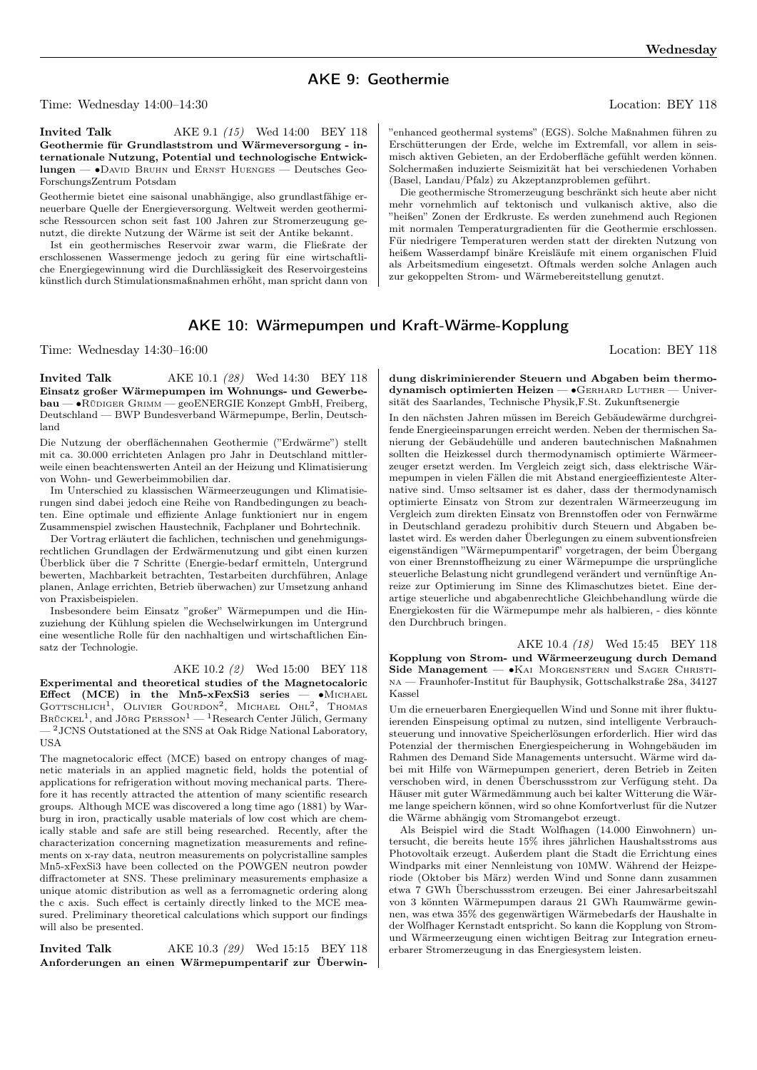## AKE 9: Geothermie

Time: Wednesday 14:00–14:30 Location: BEY 118

**Invited Talk** AKE 9.1 (15) Wed 14:00 BEY 118 Geothermie für Grundlaststrom und Wärmeversorgung - internationale Nutzung, Potential und technologische Entwicklungen — ∙David Bruhn und Ernst Huenges — Deutsches Geo-ForschungsZentrum Potsdam

Geothermie bietet eine saisonal unabhängige, also grundlastfähige erneuerbare Quelle der Energieversorgung. Weltweit werden geothermische Ressourcen schon seit fast 100 Jahren zur Stromerzeugung genutzt, die direkte Nutzung der Wärme ist seit der Antike bekannt.

Ist ein geothermisches Reservoir zwar warm, die Fließrate der erschlossenen Wassermenge jedoch zu gering für eine wirtschaftliche Energiegewinnung wird die Durchlässigkeit des Reservoirgesteins künstlich durch Stimulationsmaßnahmen erhöht, man spricht dann von

"enhanced geothermal systems" (EGS). Solche Maßnahmen führen zu Erschütterungen der Erde, welche im Extremfall, vor allem in seismisch aktiven Gebieten, an der Erdoberfläche gefühlt werden können. Solchermaßen induzierte Seismizität hat bei verschiedenen Vorhaben (Basel, Landau/Pfalz) zu Akzeptanzproblemen geführt.

Die geothermische Stromerzeugung beschränkt sich heute aber nicht mehr vornehmlich auf tektonisch und vulkanisch aktive, also die "heißen" Zonen der Erdkruste. Es werden zunehmend auch Regionen mit normalen Temperaturgradienten für die Geothermie erschlossen. Für niedrigere Temperaturen werden statt der direkten Nutzung von heißem Wasserdampf binäre Kreisläufe mit einem organischen Fluid als Arbeitsmedium eingesetzt. Oftmals werden solche Anlagen auch zur gekoppelten Strom- und Wärmebereitstellung genutzt.

### AKE 10: Wärmepumpen und Kraft-Wärme-Kopplung

Time: Wednesday 14:30–16:00 Location: BEY 118

**Invited Talk** AKE 10.1 (28) Wed 14:30 BEY 118 Einsatz großer Wärmepumpen im Wohnungs- und Gewerbebau — ∙Rüdiger Grimm — geoENERGIE Konzept GmbH, Freiberg, Deutschland — BWP Bundesverband Wärmepumpe, Berlin, Deutschland

Die Nutzung der oberflächennahen Geothermie ("Erdwärme") stellt mit ca. 30.000 errichteten Anlagen pro Jahr in Deutschland mittlerweile einen beachtenswerten Anteil an der Heizung und Klimatisierung von Wohn- und Gewerbeimmobilien dar.

Im Unterschied zu klassischen Wärmeerzeugungen und Klimatisierungen sind dabei jedoch eine Reihe von Randbedingungen zu beachten. Eine optimale und effiziente Anlage funktioniert nur in engem Zusammenspiel zwischen Haustechnik, Fachplaner und Bohrtechnik.

Der Vortrag erläutert die fachlichen, technischen und genehmigungsrechtlichen Grundlagen der Erdwärmenutzung und gibt einen kurzen Überblick über die 7 Schritte (Energie-bedarf ermitteln, Untergrund bewerten, Machbarkeit betrachten, Testarbeiten durchführen, Anlage planen, Anlage errichten, Betrieb überwachen) zur Umsetzung anhand von Praxisbeispielen.

Insbesondere beim Einsatz "großer" Wärmepumpen und die Hinzuziehung der Kühlung spielen die Wechselwirkungen im Untergrund eine wesentliche Rolle für den nachhaltigen und wirtschaftlichen Einsatz der Technologie.

AKE 10.2 (2) Wed 15:00 BEY 118

Experimental and theoretical studies of the Magnetocaloric Effect (MCE) in the Mn5-xFexSi3 series – •MICHAEL GOTTSCHLICH<sup>1</sup>, OLIVIER GOURDON<sup>2</sup>, MICHAEL OHL<sup>2</sup>, THOMAS BRÜCKEL<sup>1</sup>, and JÖRG PERSSON<sup>1</sup> — <sup>1</sup>Research Center Jülich, Germany  $-$ <sup>2</sup>JCNS Outstationed at the SNS at Oak Ridge National Laboratory, **IISA** 

The magnetocaloric effect (MCE) based on entropy changes of magnetic materials in an applied magnetic field, holds the potential of applications for refrigeration without moving mechanical parts. Therefore it has recently attracted the attention of many scientific research groups. Although MCE was discovered a long time ago (1881) by Warburg in iron, practically usable materials of low cost which are chemically stable and safe are still being researched. Recently, after the characterization concerning magnetization measurements and refinements on x-ray data, neutron measurements on polycristalline samples Mn5-xFexSi3 have been collected on the POWGEN neutron powder diffractometer at SNS. These preliminary measurements emphasize a unique atomic distribution as well as a ferromagnetic ordering along the c axis. Such effect is certainly directly linked to the MCE measured. Preliminary theoretical calculations which support our findings will also be presented.

**Invited Talk** AKE 10.3 (29) Wed 15:15 BEY 118 Anforderungen an einen Wärmepumpentarif zur Überwin-

dung diskriminierender Steuern und Abgaben beim thermodynamisch optimierten Heizen — ∙Gerhard Luther — Universität des Saarlandes, Technische Physik,F.St. Zukunftsenergie

In den nächsten Jahren müssen im Bereich Gebäudewärme durchgreifende Energieeinsparungen erreicht werden. Neben der thermischen Sanierung der Gebäudehülle und anderen bautechnischen Maßnahmen sollten die Heizkessel durch thermodynamisch optimierte Wärmeerzeuger ersetzt werden. Im Vergleich zeigt sich, dass elektrische Wärmepumpen in vielen Fällen die mit Abstand energieeffizienteste Alternative sind. Umso seltsamer ist es daher, dass der thermodynamisch optimierte Einsatz von Strom zur dezentralen Wärmeerzeugung im Vergleich zum direkten Einsatz von Brennstoffen oder von Fernwärme in Deutschland geradezu prohibitiv durch Steuern und Abgaben belastet wird. Es werden daher Überlegungen zu einem subventionsfreien eigenständigen "Wärmepumpentarif" vorgetragen, der beim Übergang von einer Brennstoffheizung zu einer Wärmepumpe die ursprüngliche steuerliche Belastung nicht grundlegend verändert und vernünftige Anreize zur Optimierung im Sinne des Klimaschutzes bietet. Eine derartige steuerliche und abgabenrechtliche Gleichbehandlung würde die Energiekosten für die Wärmepumpe mehr als halbieren, - dies könnte den Durchbruch bringen.

AKE 10.4 (18) Wed 15:45 BEY 118 Kopplung von Strom- und Wärmeerzeugung durch Demand Side Management — •KAI MORGENSTERN und SAGER CHRISTIna — Fraunhofer-Institut für Bauphysik, Gottschalkstraße 28a, 34127 Kassel

Um die erneuerbaren Energiequellen Wind und Sonne mit ihrer fluktuierenden Einspeisung optimal zu nutzen, sind intelligente Verbrauchsteuerung und innovative Speicherlösungen erforderlich. Hier wird das Potenzial der thermischen Energiespeicherung in Wohngebäuden im Rahmen des Demand Side Managements untersucht. Wärme wird dabei mit Hilfe von Wärmepumpen generiert, deren Betrieb in Zeiten verschoben wird, in denen Überschussstrom zur Verfügung steht. Da Häuser mit guter Wärmedämmung auch bei kalter Witterung die Wärme lange speichern können, wird so ohne Komfortverlust für die Nutzer die Wärme abhängig vom Stromangebot erzeugt.

Als Beispiel wird die Stadt Wolfhagen (14.000 Einwohnern) untersucht, die bereits heute 15% ihres jährlichen Haushaltsstroms aus Photovoltaik erzeugt. Außerdem plant die Stadt die Errichtung eines Windparks mit einer Nennleistung von 10MW. Während der Heizperiode (Oktober bis März) werden Wind und Sonne dann zusammen etwa 7 GWh Überschussstrom erzeugen. Bei einer Jahresarbeitszahl von 3 könnten Wärmepumpen daraus 21 GWh Raumwärme gewinnen, was etwa 35% des gegenwärtigen Wärmebedarfs der Haushalte in der Wolfhager Kernstadt entspricht. So kann die Kopplung von Stromund Wärmeerzeugung einen wichtigen Beitrag zur Integration erneuerbarer Stromerzeugung in das Energiesystem leisten.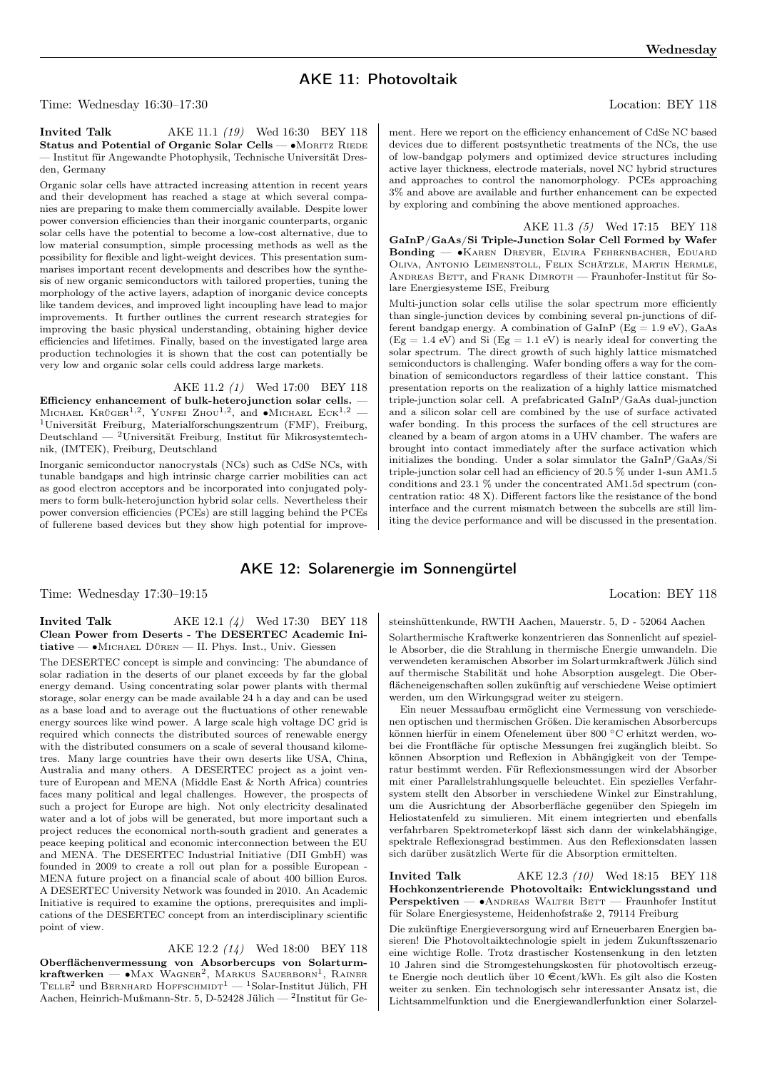# AKE 11: Photovoltaik

Time: Wednesday 16:30–17:30 Location: BEY 118

### **Invited Talk** AKE 11.1 (19) Wed 16:30 BEY 118 Status and Potential of Organic Solar Cells — •MORITZ RIEDE — Institut für Angewandte Photophysik, Technische Universität Dresden, Germany

Organic solar cells have attracted increasing attention in recent years and their development has reached a stage at which several companies are preparing to make them commercially available. Despite lower power conversion efficiencies than their inorganic counterparts, organic solar cells have the potential to become a low-cost alternative, due to low material consumption, simple processing methods as well as the possibility for flexible and light-weight devices. This presentation summarises important recent developments and describes how the synthesis of new organic semiconductors with tailored properties, tuning the morphology of the active layers, adaption of inorganic device concepts like tandem devices, and improved light incoupling have lead to major improvements. It further outlines the current research strategies for improving the basic physical understanding, obtaining higher device efficiencies and lifetimes. Finally, based on the investigated large area production technologies it is shown that the cost can potentially be very low and organic solar cells could address large markets.

AKE 11.2 (1) Wed 17:00 BEY 118 Efficiency enhancement of bulk-heterojunction solar cells. — MICHAEL KRÜGER<sup>1,2</sup>, YUNFEI ZHOU<sup>1,2</sup>, and •MICHAEL ECK<sup>1,2</sup> — <sup>1</sup>Universität Freiburg, Materialforschungszentrum (FMF), Freiburg, Deutschland — <sup>2</sup>Universität Freiburg, Institut für Mikrosystemtechnik, (IMTEK), Freiburg, Deutschland

Inorganic semiconductor nanocrystals (NCs) such as CdSe NCs, with tunable bandgaps and high intrinsic charge carrier mobilities can act as good electron acceptors and be incorporated into conjugated polymers to form bulk-heterojunction hybrid solar cells. Nevertheless their power conversion efficiencies (PCEs) are still lagging behind the PCEs of fullerene based devices but they show high potential for improve-

ment. Here we report on the efficiency enhancement of CdSe NC based devices due to different postsynthetic treatments of the NCs, the use of low-bandgap polymers and optimized device structures including active layer thickness, electrode materials, novel NC hybrid structures and approaches to control the nanomorphology. PCEs approaching 3% and above are available and further enhancement can be expected by exploring and combining the above mentioned approaches.

AKE 11.3 (5) Wed 17:15 BEY 118 GaInP/GaAs/Si Triple-Junction Solar Cell Formed by Wafer Bonding — ∙Karen Dreyer, Elvira Fehrenbacher, Eduard Oliva, Antonio Leimenstoll, Felix Schätzle, Martin Hermle, ANDREAS BETT, and FRANK DIMROTH — Fraunhofer-Institut für Solare Energiesysteme ISE, Freiburg

Multi-junction solar cells utilise the solar spectrum more efficiently than single-junction devices by combining several pn-junctions of different bandgap energy. A combination of  $GaInP$  (Eg = 1.9 eV),  $GaAs$  $(Eg = 1.4 \text{ eV})$  and Si  $(Eg = 1.1 \text{ eV})$  is nearly ideal for converting the solar spectrum. The direct growth of such highly lattice mismatched semiconductors is challenging. Wafer bonding offers a way for the combination of semiconductors regardless of their lattice constant. This presentation reports on the realization of a highly lattice mismatched triple-junction solar cell. A prefabricated GaInP/GaAs dual-junction and a silicon solar cell are combined by the use of surface activated wafer bonding. In this process the surfaces of the cell structures are cleaned by a beam of argon atoms in a UHV chamber. The wafers are brought into contact immediately after the surface activation which initializes the bonding. Under a solar simulator the GaInP/GaAs/Si triple-junction solar cell had an efficiency of 20.5 % under 1-sun AM1.5 conditions and 23.1 % under the concentrated AM1.5d spectrum (concentration ratio: 48 X). Different factors like the resistance of the bond interface and the current mismatch between the subcells are still limiting the device performance and will be discussed in the presentation.

### AKE 12: Solarenergie im Sonnengürtel

Time: Wednesday 17:30–19:15 Location: BEY 118

### **Invited Talk** AKE 12.1 (4) Wed 17:30 BEY 118 Clean Power from Deserts - The DESERTEC Academic Initiative — ∙Michael Düren — II. Phys. Inst., Univ. Giessen

The DESERTEC concept is simple and convincing: The abundance of solar radiation in the deserts of our planet exceeds by far the global energy demand. Using concentrating solar power plants with thermal storage, solar energy can be made available 24 h a day and can be used as a base load and to average out the fluctuations of other renewable energy sources like wind power. A large scale high voltage DC grid is required which connects the distributed sources of renewable energy with the distributed consumers on a scale of several thousand kilometres. Many large countries have their own deserts like USA, China, Australia and many others. A DESERTEC project as a joint venture of European and MENA (Middle East & North Africa) countries faces many political and legal challenges. However, the prospects of such a project for Europe are high. Not only electricity desalinated water and a lot of jobs will be generated, but more important such a project reduces the economical north-south gradient and generates a peace keeping political and economic interconnection between the EU and MENA. The DESERTEC Industrial Initiative (DII GmbH) was founded in 2009 to create a roll out plan for a possible European - MENA future project on a financial scale of about 400 billion Euros. A DESERTEC University Network was founded in 2010. An Academic Initiative is required to examine the options, prerequisites and implications of the DESERTEC concept from an interdisciplinary scientific point of view.

AKE 12.2 (14) Wed 18:00 BEY 118 Oberflächenvermessung von Absorbercups von Solarturm- ${\rm kraftwerken} \leftharpoons {\rm MAX\; WAGNER}^2,$  Markus Sauerborn<sup>1</sup>, Rainer  $\mathrm{TELLE}^2$ und Bernhard Hoffschmidt $^{-1}$ —  $^1\mathrm{Solar\text{-}Institut}$  Jülich, FH Aachen, Heinrich-Mußmann-Str. 5, D-52428 Jülich — <sup>2</sup> Institut für Gesteinshüttenkunde, RWTH Aachen, Mauerstr. 5, D - 52064 Aachen Solarthermische Kraftwerke konzentrieren das Sonnenlicht auf spezielle Absorber, die die Strahlung in thermische Energie umwandeln. Die verwendeten keramischen Absorber im Solarturmkraftwerk Jülich sind auf thermische Stabilität und hohe Absorption ausgelegt. Die Oberflächeneigenschaften sollen zukünftig auf verschiedene Weise optimiert werden, um den Wirkungsgrad weiter zu steigern.

Ein neuer Messaufbau ermöglicht eine Vermessung von verschiedenen optischen und thermischen Größen. Die keramischen Absorbercups können hierfür in einem Ofenelement über 800 <sup>∘</sup>C erhitzt werden, wobei die Frontfläche für optische Messungen frei zugänglich bleibt. So können Absorption und Reflexion in Abhängigkeit von der Temperatur bestimmt werden. Für Reflexionsmessungen wird der Absorber mit einer Parallelstrahlungsquelle beleuchtet. Ein spezielles Verfahrsystem stellt den Absorber in verschiedene Winkel zur Einstrahlung, um die Ausrichtung der Absorberfläche gegenüber den Spiegeln im Heliostatenfeld zu simulieren. Mit einem integrierten und ebenfalls verfahrbaren Spektrometerkopf lässt sich dann der winkelabhängige, spektrale Reflexionsgrad bestimmen. Aus den Reflexionsdaten lassen sich darüber zusätzlich Werte für die Absorption ermittelten.

**Invited Talk** AKE 12.3 (10) Wed 18:15 BEY 118 Hochkonzentrierende Photovoltaik: Entwicklungsstand und Perspektiven — •ANDREAS WALTER BETT — Fraunhofer Institut für Solare Energiesysteme, Heidenhofstraße 2, 79114 Freiburg

Die zukünftige Energieversorgung wird auf Erneuerbaren Energien basieren! Die Photovoltaiktechnologie spielt in jedem Zukunftsszenario eine wichtige Rolle. Trotz drastischer Kostensenkung in den letzten 10 Jahren sind die Stromgestehungskosten für photovoltisch erzeugte Energie noch deutlich über 10 $\in \!\mathsf{cent}/\mathsf{kWh}.$  Es gilt also die Kosten weiter zu senken. Ein technologisch sehr interessanter Ansatz ist, die Lichtsammelfunktion und die Energiewandlerfunktion einer Solarzel-